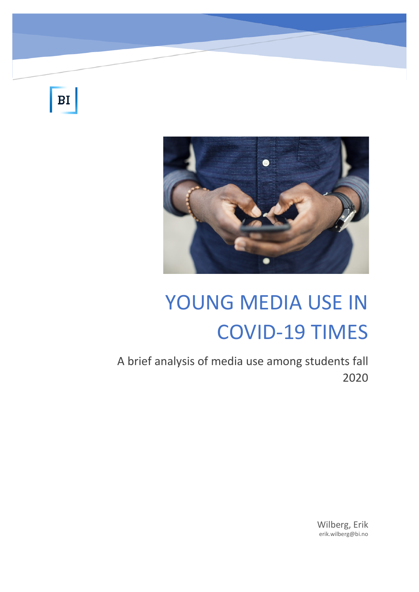BI

Youn



# YOUNG MEDIA USE IN COVID-19 TIMES

A brief analysis of media use among students fall 2020

> Wilberg, Erik erik.wilberg@bi.no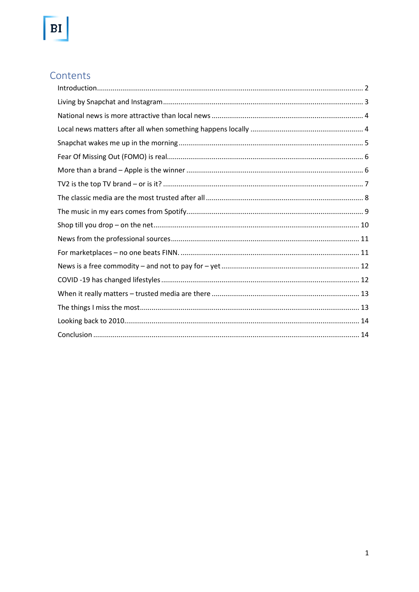# Contents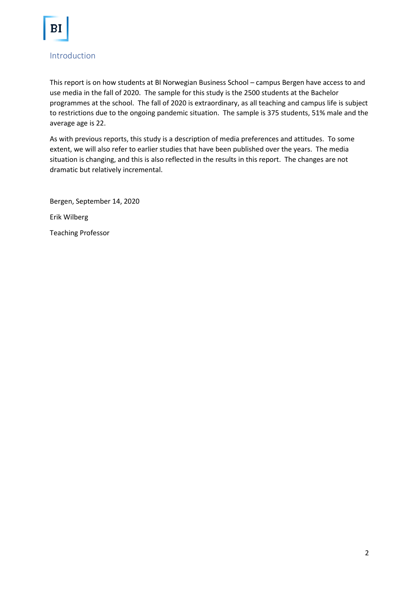

### <span id="page-2-0"></span>Introduction

This report is on how students at BI Norwegian Business School – campus Bergen have access to and use media in the fall of 2020. The sample for this study is the 2500 students at the Bachelor programmes at the school. The fall of 2020 is extraordinary, as all teaching and campus life is subject to restrictions due to the ongoing pandemic situation. The sample is 375 students, 51% male and the average age is 22.

As with previous reports, this study is a description of media preferences and attitudes. To some extent, we will also refer to earlier studies that have been published over the years. The media situation is changing, and this is also reflected in the results in this report. The changes are not dramatic but relatively incremental.

Bergen, September 14, 2020 Erik Wilberg

Teaching Professor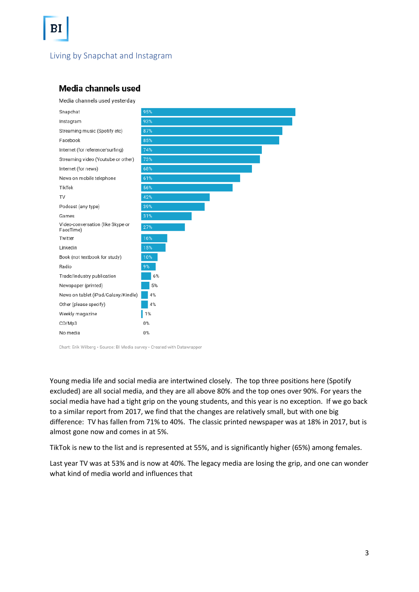<span id="page-3-0"></span>Living by Snapchat and Instagram

### Media channels used





Chart: Erik Wilberg · Source: BI Media survey · Created with Datawrapper

Young media life and social media are intertwined closely. The top three positions here (Spotify excluded) are all social media, and they are all above 80% and the top ones over 90%. For years the social media have had a tight grip on the young students, and this year is no exception. If we go back to a similar report from 2017, we find that the changes are relatively small, but with one big difference: TV has fallen from 71% to 40%. The classic printed newspaper was at 18% in 2017, but is almost gone now and comes in at 5%.

TikTok is new to the list and is represented at 55%, and is significantly higher (65%) among females.

Last year TV was at 53% and is now at 40%. The legacy media are losing the grip, and one can wonder what kind of media world and influences that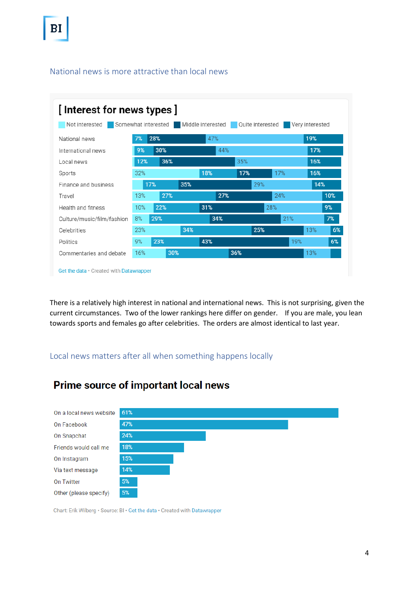### <span id="page-4-0"></span>National news is more attractive than local news



There is a relatively high interest in national and international news. This is not surprising, given the current circumstances. Two of the lower rankings here differ on gender. If you are male, you lean towards sports and females go after celebrities. The orders are almost identical to last year.

### <span id="page-4-1"></span>Local news matters after all when something happens locally

# Prime source of important local news



Chart: Erik Wilberg · Source: BI · Get the data · Created with Datawrapper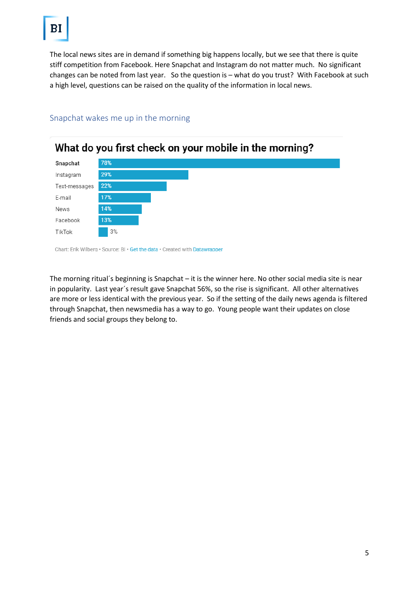The local news sites are in demand if something big happens locally, but we see that there is quite stiff competition from Facebook. Here Snapchat and Instagram do not matter much. No significant changes can be noted from last year. So the question is – what do you trust? With Facebook at such a high level, questions can be raised on the quality of the information in local news.



#### <span id="page-5-0"></span>Snapchat wakes me up in the morning

Chart: Erik Wilberg · Source: BI · Get the data · Created with Datawrapper

The morning ritual´s beginning is Snapchat – it is the winner here. No other social media site is near in popularity. Last year´s result gave Snapchat 56%, so the rise is significant. All other alternatives are more or less identical with the previous year. So if the setting of the daily news agenda is filtered through Snapchat, then newsmedia has a way to go. Young people want their updates on close friends and social groups they belong to.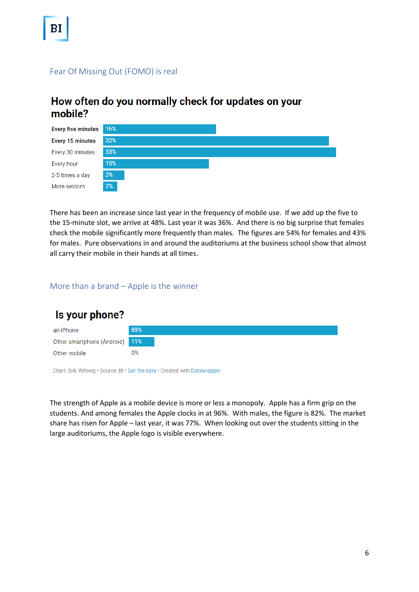### <span id="page-6-0"></span>Fear Of Missing Out (FOMO) is real

## How often do you normally check for updates on your mobile?



There has been an increase since last year in the frequency of mobile use. If we add up the five to the 15-minute slot, we arrive at 48%. Last year it was 36%. And there is no big surprise that females check the mobile significantly more frequently than males. The figures are 54% for females and 43% for males. Pure observations in and around the auditoriums at the business school show that almost all carry their mobile in their hands at all times.

#### <span id="page-6-1"></span>More than a brand – Apple is the winner



Chart: Erik Wilberg · Source: BI · Get the data · Created with Datawrapper

The strength of Apple as a mobile device is more or less a monopoly. Apple has a firm grip on the students. And among females the Apple clocks in at 96%. With males, the figure is 82%. The market share has risen for Apple – last year, it was 77%. When looking out over the students sitting in the large auditoriums, the Apple logo is visible everywhere.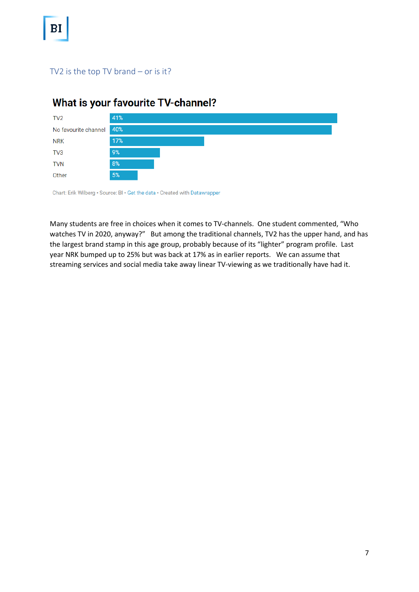### <span id="page-7-0"></span>TV2 is the top TV brand – or is it?

# What is your favourite TV-channel?



Chart: Erik Wilberg · Source: BI · Get the data · Created with Datawrapper

Many students are free in choices when it comes to TV-channels. One student commented, "Who watches TV in 2020, anyway?" But among the traditional channels, TV2 has the upper hand, and has the largest brand stamp in this age group, probably because of its "lighter" program profile. Last year NRK bumped up to 25% but was back at 17% as in earlier reports. We can assume that streaming services and social media take away linear TV-viewing as we traditionally have had it.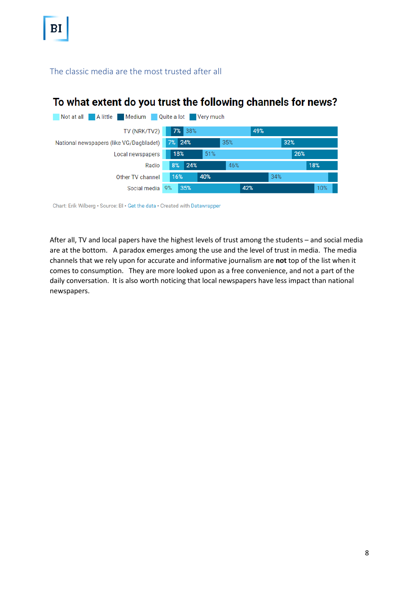<span id="page-8-0"></span>The classic media are the most trusted after all

# To what extent do you trust the following channels for news?



Chart: Erik Wilberg · Source: BI · Get the data · Created with Datawrapper

After all, TV and local papers have the highest levels of trust among the students – and social media are at the bottom. A paradox emerges among the use and the level of trust in media. The media channels that we rely upon for accurate and informative journalism are **not** top of the list when it comes to consumption. They are more looked upon as a free convenience, and not a part of the daily conversation. It is also worth noticing that local newspapers have less impact than national newspapers.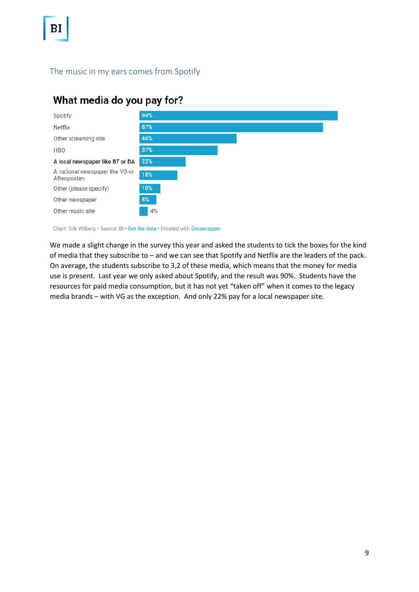### <span id="page-9-0"></span>The music in my ears comes from Spotify

# What media do you pay for?



Chart: Erik Wilberg · Source: BI · Get the data · Created with Datawrapper

We made a slight change in the survey this year and asked the students to tick the boxes for the kind of media that they subscribe to – and we can see that Spotify and Netflix are the leaders of the pack. On average, the students subscribe to 3,2 of these media, which means that the money for media use is present. Last year we only asked about Spotify, and the result was 90%. Students have the resources for paid media consumption, but it has not yet "taken off" when it comes to the legacy media brands – with VG as the exception. And only 22% pay for a local newspaper site.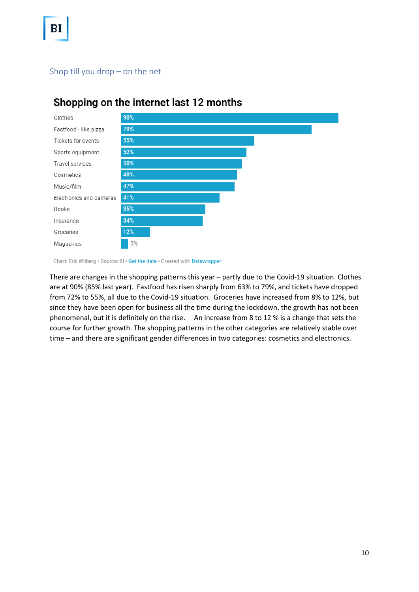### <span id="page-10-0"></span>Shop till you drop – on the net



# Shopping on the internet last 12 months

Chart: Erik Wilberg · Source: BI · Get the data · Created with Datawrapper

There are changes in the shopping patterns this year – partly due to the Covid-19 situation. Clothes are at 90% (85% last year). Fastfood has risen sharply from 63% to 79%, and tickets have dropped from 72% to 55%, all due to the Covid-19 situation. Groceries have increased from 8% to 12%, but since they have been open for business all the time during the lockdown, the growth has not been phenomenal, but it is definitely on the rise. An increase from 8 to 12 % is a change that sets the course for further growth. The shopping patterns in the other categories are relatively stable over time – and there are significant gender differences in two categories: cosmetics and electronics.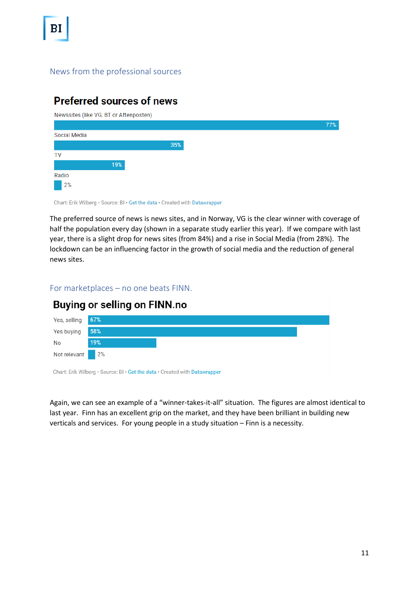### <span id="page-11-0"></span>News from the professional sources

### **Preferred sources of news**

 $\sim$ 

| Newssites (like VG, BT or Aftenposten) |     |  |     |
|----------------------------------------|-----|--|-----|
|                                        |     |  | 77% |
| Social Media                           |     |  |     |
|                                        | 35% |  |     |
| TV                                     |     |  |     |
| 19%                                    |     |  |     |
| Radio                                  |     |  |     |
| 2%                                     |     |  |     |

Chart: Erik Wilberg · Source: BI · Get the data · Created with Datawrapper

The preferred source of news is news sites, and in Norway, VG is the clear winner with coverage of half the population every day (shown in a separate study earlier this year). If we compare with last year, there is a slight drop for news sites (from 84%) and a rise in Social Media (from 28%). The lockdown can be an influencing factor in the growth of social media and the reduction of general news sites.

<span id="page-11-1"></span>For marketplaces – no one beats FINN.



Again, we can see an example of a "winner-takes-it-all" situation. The figures are almost identical to last year. Finn has an excellent grip on the market, and they have been brilliant in building new verticals and services. For young people in a study situation – Finn is a necessity.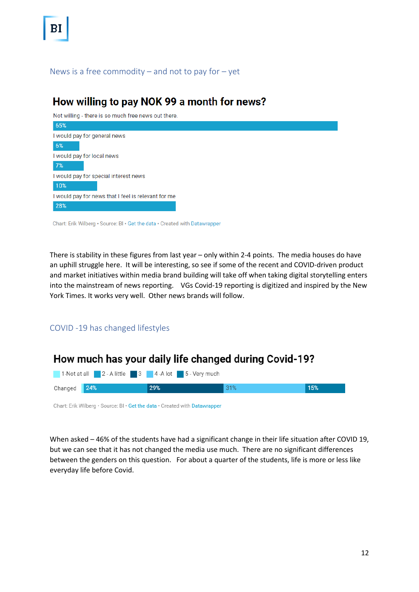#### <span id="page-12-0"></span>News is a free commodity – and not to pay for – yet

### How willing to pay NOK 99 a month for news?

Not willing - there is so much free news out there.

| 65%                                                                        |
|----------------------------------------------------------------------------|
| I would pay for general news                                               |
| 6%                                                                         |
| I would pay for local news                                                 |
| 7%                                                                         |
| I would pay for special interest news                                      |
| 10%                                                                        |
| I would pay for news that I feel is relevant for me                        |
| 28%                                                                        |
| Chart: Erik Wilberg · Source: BI · Get the data · Created with Datawrapper |

There is stability in these figures from last year – only within 2-4 points. The media houses do have an uphill struggle here. It will be interesting, so see if some of the recent and COVID-driven product and market initiatives within media brand building will take off when taking digital storytelling enters into the mainstream of news reporting. VGs Covid-19 reporting is digitized and inspired by the New York Times. It works very well. Other news brands will follow.

### <span id="page-12-1"></span>COVID -19 has changed lifestyles

### How much has your daily life changed during Covid-19?



Chart: Erik Wilberg · Source: BI · Get the data · Created with Datawrapper

When asked – 46% of the students have had a significant change in their life situation after COVID 19, but we can see that it has not changed the media use much. There are no significant differences between the genders on this question. For about a quarter of the students, life is more or less like everyday life before Covid.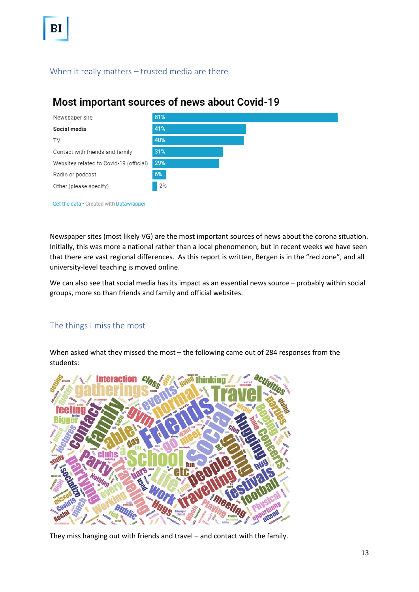### <span id="page-13-0"></span>When it really matters – trusted media are there

### Most important sources of news about Covid-19



Get the data · Created with Datawrapper

Newspaper sites (most likely VG) are the most important sources of news about the corona situation. Initially, this was more a national rather than a local phenomenon, but in recent weeks we have seen that there are vast regional differences. As this report is written, Bergen is in the "red zone", and all university-level teaching is moved online.

We can also see that social media has its impact as an essential news source – probably within social groups, more so than friends and family and official websites.

### <span id="page-13-1"></span>The things I miss the most

When asked what they missed the most – the following came out of 284 responses from the students:



They miss hanging out with friends and travel – and contact with the family.